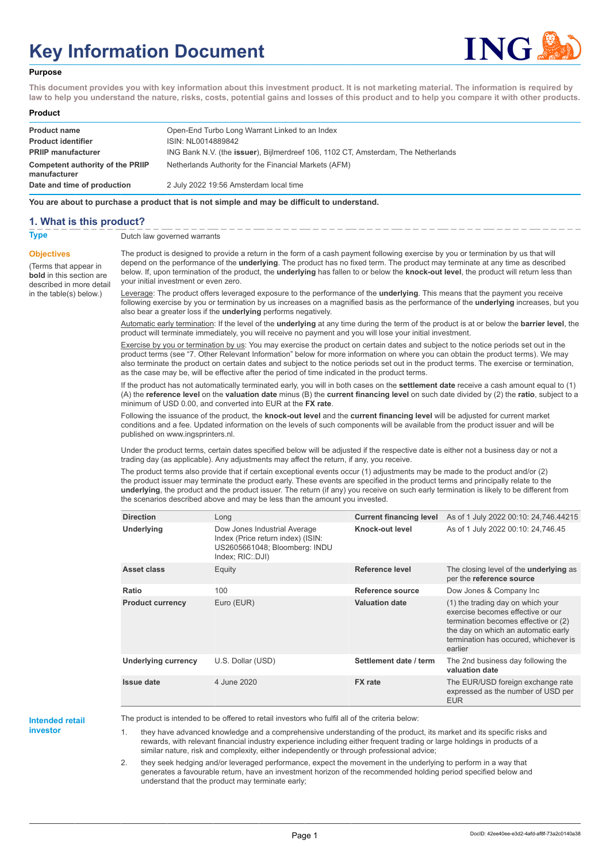# **Key Information Document**



#### **Purpose**

**This document provides you with key information about this investment product. It is not marketing material. The information is required by law to help you understand the nature, risks, costs, potential gains and losses of this product and to help you compare it with other products.**

#### **Product**

| <b>Product name</b><br><b>Product identifier</b><br><b>PRIIP manufacturer</b> | Open-End Turbo Long Warrant Linked to an Index<br>ISIN: NL0014889842                                                                               |
|-------------------------------------------------------------------------------|----------------------------------------------------------------------------------------------------------------------------------------------------|
| Competent authority of the PRIIP<br>manufacturer                              | ING Bank N.V. (the <b>issuer</b> ), Bijlmerdreef 106, 1102 CT, Amsterdam, The Netherlands<br>Netherlands Authority for the Financial Markets (AFM) |
| Date and time of production                                                   | 2 July 2022 19:56 Amsterdam local time                                                                                                             |

**You are about to purchase a product that is not simple and may be difficult to understand.**

## **1. What is this product?**

**Objectives**

(Terms that appear in **bold** in this section are

in the table(s) below.)

**Type** Dutch law governed warrants

described in more detail The product is designed to provide a return in the form of a cash payment following exercise by you or termination by us that will depend on the performance of the **underlying**. The product has no fixed term. The product may terminate at any time as described below. If, upon termination of the product, the **underlying** has fallen to or below the **knock-out level**, the product will return less than your initial investment or even zero.

> Leverage: The product offers leveraged exposure to the performance of the **underlying**. This means that the payment you receive following exercise by you or termination by us increases on a magnified basis as the performance of the **underlying** increases, but you also bear a greater loss if the **underlying** performs negatively.

> Automatic early termination: If the level of the **underlying** at any time during the term of the product is at or below the **barrier level**, the product will terminate immediately, you will receive no payment and you will lose your initial investment.

> Exercise by you or termination by us: You may exercise the product on certain dates and subject to the notice periods set out in the product terms (see "7. Other Relevant Information" below for more information on where you can obtain the product terms). We may also terminate the product on certain dates and subject to the notice periods set out in the product terms. The exercise or termination, as the case may be, will be effective after the period of time indicated in the product terms.

> If the product has not automatically terminated early, you will in both cases on the **settlement date** receive a cash amount equal to (1) (A) the **reference level** on the **valuation date** minus (B) the **current financing level** on such date divided by (2) the **ratio**, subject to a minimum of USD 0.00, and converted into EUR at the **FX rate**.

Following the issuance of the product, the **knock-out level** and the **current financing level** will be adjusted for current market conditions and a fee. Updated information on the levels of such components will be available from the product issuer and will be published on www.ingsprinters.nl.

Under the product terms, certain dates specified below will be adjusted if the respective date is either not a business day or not a trading day (as applicable). Any adjustments may affect the return, if any, you receive.

The product terms also provide that if certain exceptional events occur (1) adjustments may be made to the product and/or (2) the product issuer may terminate the product early. These events are specified in the product terms and principally relate to the **underlying**, the product and the product issuer. The return (if any) you receive on such early termination is likely to be different from the scenarios described above and may be less than the amount you invested.

| <b>Direction</b>           | Long                                                                                                                   | <b>Current financing level</b> | As of 1 July 2022 00:10: 24,746.44215                                                                                                                                                                     |
|----------------------------|------------------------------------------------------------------------------------------------------------------------|--------------------------------|-----------------------------------------------------------------------------------------------------------------------------------------------------------------------------------------------------------|
| Underlying                 | Dow Jones Industrial Average<br>Index (Price return index) (ISIN:<br>US2605661048; Bloomberg: INDU<br>Index; RIC: DJI) | Knock-out level                | As of 1 July 2022 00:10: 24,746.45                                                                                                                                                                        |
| Asset class                | Equity                                                                                                                 | Reference level                | The closing level of the <b>underlying</b> as<br>per the reference source                                                                                                                                 |
| Ratio                      | 100                                                                                                                    | Reference source               | Dow Jones & Company Inc                                                                                                                                                                                   |
| <b>Product currency</b>    | Euro (EUR)                                                                                                             | <b>Valuation date</b>          | (1) the trading day on which your<br>exercise becomes effective or our<br>termination becomes effective or (2)<br>the day on which an automatic early<br>termination has occured, whichever is<br>earlier |
| <b>Underlying currency</b> | U.S. Dollar (USD)                                                                                                      | Settlement date / term         | The 2nd business day following the<br>valuation date                                                                                                                                                      |
| <b>Issue date</b>          | 4 June 2020                                                                                                            | <b>FX</b> rate                 | The EUR/USD foreign exchange rate<br>expressed as the number of USD per<br><b>EUR</b>                                                                                                                     |

#### **Intended retail investor**

The product is intended to be offered to retail investors who fulfil all of the criteria below:

1. they have advanced knowledge and a comprehensive understanding of the product, its market and its specific risks and rewards, with relevant financial industry experience including either frequent trading or large holdings in products of a similar nature, risk and complexity, either independently or through professional advice;

2. they seek hedging and/or leveraged performance, expect the movement in the underlying to perform in a way that generates a favourable return, have an investment horizon of the recommended holding period specified below and understand that the product may terminate early;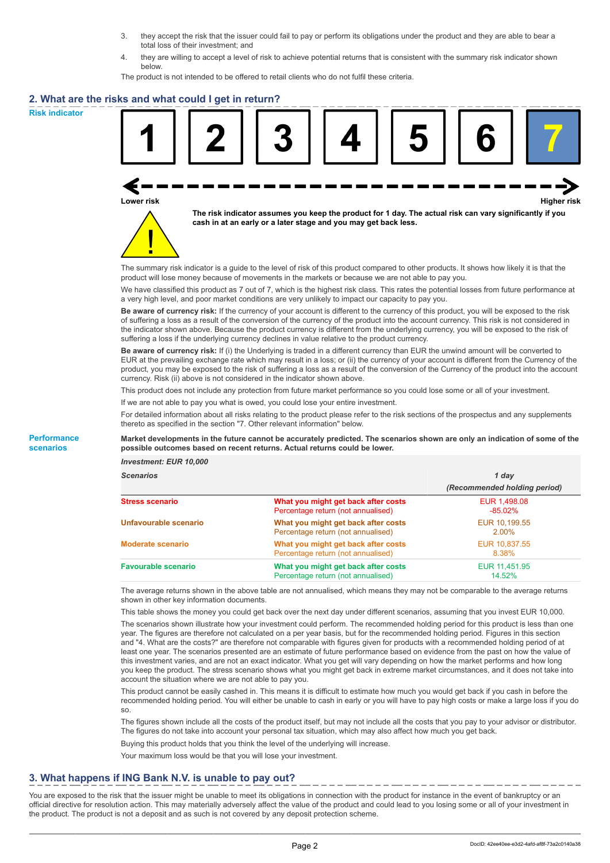- 3. they accept the risk that the issuer could fail to pay or perform its obligations under the product and they are able to bear a total loss of their investment; and
- 4. they are willing to accept a level of risk to achieve potential returns that is consistent with the summary risk indicator shown below.

The product is not intended to be offered to retail clients who do not fulfil these criteria.

## **2. What are the risks and what could I get in return?**

**Risk indicator**

**Performance scenarios**





**The risk indicator assumes you keep the product for 1 day. The actual risk can vary significantly if you cash in at an early or a later stage and you may get back less.**

The summary risk indicator is a guide to the level of risk of this product compared to other products. It shows how likely it is that the product will lose money because of movements in the markets or because we are not able to pay you.

We have classified this product as 7 out of 7, which is the highest risk class. This rates the potential losses from future performance at a very high level, and poor market conditions are very unlikely to impact our capacity to pay you.

**Be aware of currency risk:** If the currency of your account is different to the currency of this product, you will be exposed to the risk of suffering a loss as a result of the conversion of the currency of the product into the account currency. This risk is not considered in the indicator shown above. Because the product currency is different from the underlying currency, you will be exposed to the risk of suffering a loss if the underlying currency declines in value relative to the product currency.

**Be aware of currency risk:** If (i) the Underlying is traded in a different currency than EUR the unwind amount will be converted to EUR at the prevailing exchange rate which may result in a loss; or (ii) the currency of your account is different from the Currency of the product, you may be exposed to the risk of suffering a loss as a result of the conversion of the Currency of the product into the account currency. Risk (ii) above is not considered in the indicator shown above.

This product does not include any protection from future market performance so you could lose some or all of your investment.

If we are not able to pay you what is owed, you could lose your entire investment.

For detailed information about all risks relating to the product please refer to the risk sections of the prospectus and any supplements thereto as specified in the section "7. Other relevant information" below.

#### **Market developments in the future cannot be accurately predicted. The scenarios shown are only an indication of some of the possible outcomes based on recent returns. Actual returns could be lower.**

*Investment: EUR 10,000*

| <b>Scenarios</b>           |                                                                           | 1 day                        |  |
|----------------------------|---------------------------------------------------------------------------|------------------------------|--|
|                            |                                                                           | (Recommended holding period) |  |
| <b>Stress scenario</b>     | What you might get back after costs<br>Percentage return (not annualised) | EUR 1,498.08<br>$-85.02\%$   |  |
| Unfavourable scenario      | What you might get back after costs<br>Percentage return (not annualised) | EUR 10.199.55<br>$2.00\%$    |  |
| <b>Moderate scenario</b>   | What you might get back after costs<br>Percentage return (not annualised) | EUR 10.837.55<br>8.38%       |  |
| <b>Favourable scenario</b> | What you might get back after costs<br>Percentage return (not annualised) | EUR 11,451.95<br>14.52%      |  |

The average returns shown in the above table are not annualised, which means they may not be comparable to the average returns shown in other key information documents.

This table shows the money you could get back over the next day under different scenarios, assuming that you invest EUR 10,000.

The scenarios shown illustrate how your investment could perform. The recommended holding period for this product is less than one year. The figures are therefore not calculated on a per year basis, but for the recommended holding period. Figures in this section and "4. What are the costs?" are therefore not comparable with figures given for products with a recommended holding period of at least one year. The scenarios presented are an estimate of future performance based on evidence from the past on how the value of this investment varies, and are not an exact indicator. What you get will vary depending on how the market performs and how long you keep the product. The stress scenario shows what you might get back in extreme market circumstances, and it does not take into account the situation where we are not able to pay you.

This product cannot be easily cashed in. This means it is difficult to estimate how much you would get back if you cash in before the recommended holding period. You will either be unable to cash in early or you will have to pay high costs or make a large loss if you do so.

The figures shown include all the costs of the product itself, but may not include all the costs that you pay to your advisor or distributor. The figures do not take into account your personal tax situation, which may also affect how much you get back.

Buying this product holds that you think the level of the underlying will increase.

Your maximum loss would be that you will lose your investment.

# **3. What happens if ING Bank N.V. is unable to pay out?**

You are exposed to the risk that the issuer might be unable to meet its obligations in connection with the product for instance in the event of bankruptcy or an official directive for resolution action. This may materially adversely affect the value of the product and could lead to you losing some or all of your investment in the product. The product is not a deposit and as such is not covered by any deposit protection scheme.